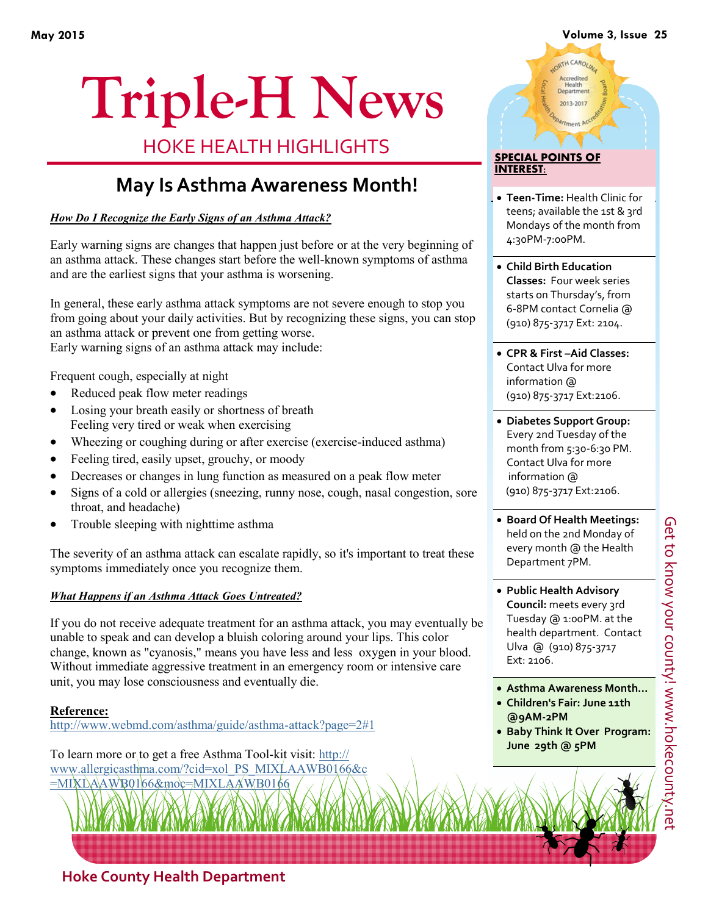#### **May 2015 Volume 3, Issue 25**

# **Triple-H News**

HOKE HEALTH HIGHLIGHTS

## **May Is Asthma Awareness Month!**

*How Do I Recognize the Early Signs of an Asthma Attack?*

Early warning signs are changes that happen just before or at the very beginning of an asthma attack. These changes start before the well-known [symptoms of asthma](http://www.webmd.com/asthma/asthma-symptoms-7/slideshow-asthma-attack) and are the earliest signs that your asthma is worsening.

In general, these early [asthma attack symptoms](http://www.webmd.com/asthma/guide/asthma-attack-symptoms) are not severe enough to stop you from going about your daily activities. But by recognizing these signs, you can stop an asthma attack or prevent one from getting worse. Early warning signs of an asthma attack may include:

Frequent [cough,](http://www.webmd.com/cold-and-flu/treat-symptoms-12/video-how-to-calm-cough) especially at night

- Reduced peak flow meter readings
- Losing your breath easily or shortness of breath Feeling very tired or weak when [exercising](http://www.webmd.com/fitness-exercise/ss/slideshow-7-most-effective-exercises)
- Wheezing or [coughing](http://www.webmd.com/cold-and-flu/rm-quiz-nighttime-cough) during or after exercise (exercise-induced asthma)
- Feeling tired, easily upset, grouchy, or moody
- Decreases or changes in lung function as measured on a peak flow meter
- Signs of a cold or [allergies](http://www.webmd.com/allergies/default.htm) [\(sneezing,](http://www.webmd.com/allergies/features/11-surprising-sneezing-facts) [runny nose,](http://www.webmd.com/allergies/postnasal-drip) cough, nasal congestion, sore [throat,](http://www.webmd.com/cold-and-flu/understanding-sore-throat-basics) and [headache\)](http://www.webmd.com/migraines-headaches/default.htm)
- [Trouble sleeping](http://www.webmd.com/sleep-disorders/default.htm) with [nighttime asthma](http://www.webmd.com/asthma/guide/nocturnal-asthma-nighttime-asthma)

The severity of an asthma attack can escalate rapidly, so it's important to treat these symptoms immediately once you recognize them.

#### *What Happens if an Asthma Attack Goes Untreated?*

If you do not receive adequate treatment for an asthma attack, you may eventually be unable to speak and can develop a bluish coloring around your lips. This color change, known as "cyanosis," means you have less and less oxygen in your [blood.](http://www.webmd.com/heart/anatomy-picture-of-blood)  Without immediate aggressive treatment in an emergency room or intensive care unit, you may lose consciousness and eventually die.

#### **Reference:**

http://www.webmd.com/asthma/guide/asthma-attack?page=2#1

To learn more or to get a free Asthma Tool-kit visit: http:// www.allergicasthma.com/?cid=xol\_PS\_MIXLAAWB0166&c =MIXLAAWB0166&moc=MIXLAAWB0166

## LORTH CAROLIN Accredited<br>Health<br>Department 2013-2017

#### **SPECIAL POINTS OF INTEREST:**

- **Teen-Time:** Health Clinic for teens; available the 1st & 3rd Mondays of the month from 4:30PM-7:00PM.
- **Child Birth Education Classes:** Four week series starts on Thursday's, from 6-8PM contact Cornelia @ (910) 875-3717 Ext: 2104.
- **CPR & First –Aid Classes:**  Contact Ulva for more information @ (910) 875-3717 Ext:2106.
- **Diabetes Support Group:**  Every 2nd Tuesday of the month from 5:30-6:30 PM. Contact Ulva for more information @ (910) 875-3717 Ext:2106.
- **Board Of Health Meetings:**  held on the 2nd Monday of every month @ the Health Department 7PM.
- **Public Health Advisory Council:** meets every 3rd Tuesday @ 1:00PM. at the health department. Contact Ulva @ (910) 875-3717 Ext: 2106.
- **Asthma Awareness Month…**
- **Children's Fair: June 11th**
- **@9AM-2PM • Baby Think It Over Program: June 29th @ 5PM**

### **Hoke County Health Department**